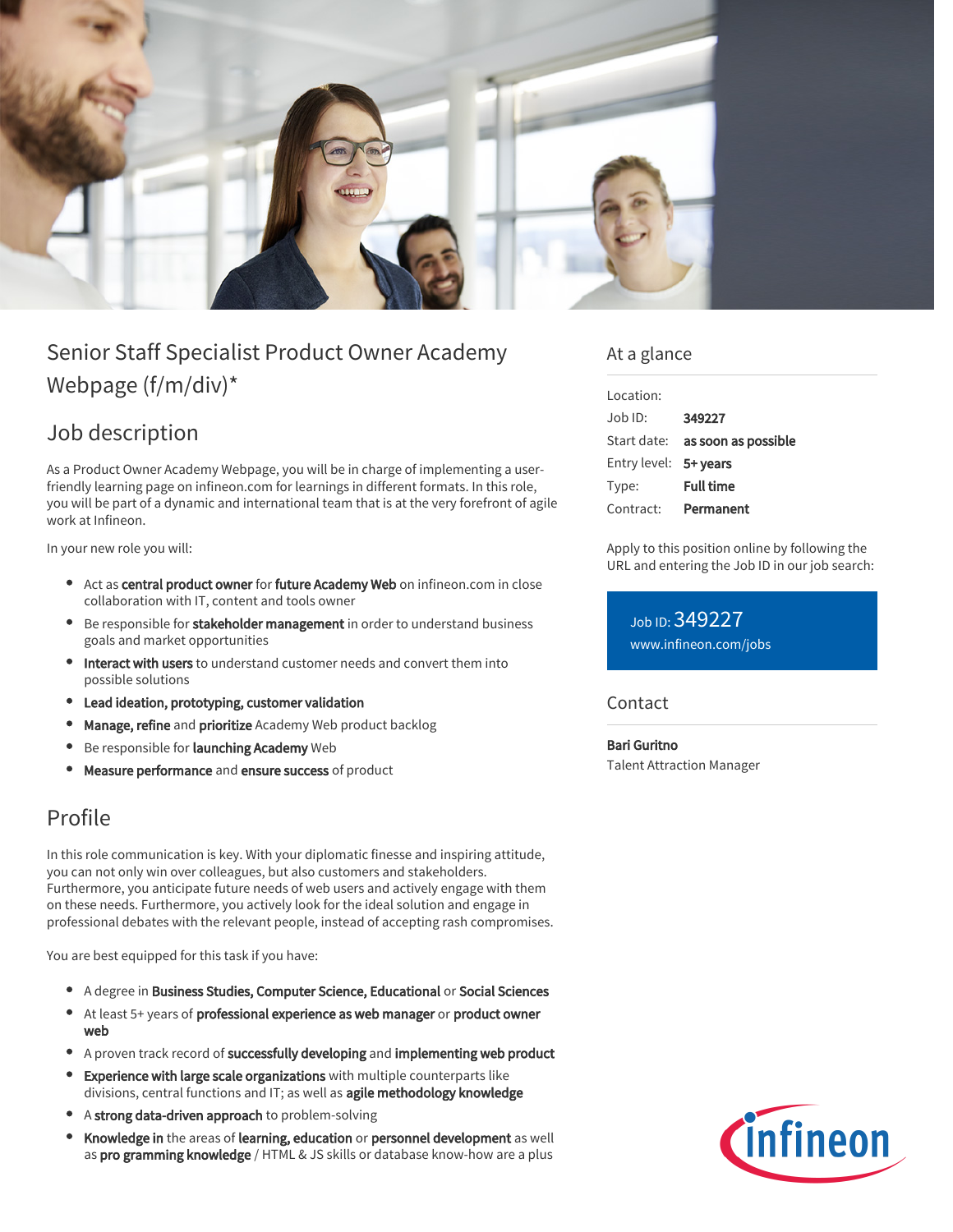

# Senior Staff Specialist Product Owner Academy Webpage (f/m/div)\*

## Job description

As a Product Owner Academy Webpage, you will be in charge of implementing a userfriendly learning page on infineon.com for learnings in different formats. In this role, you will be part of a dynamic and international team that is at the very forefront of agile work at Infineon.

In your new role you will:

- Act as central product owner for future Academy Web on infineon.com in close collaboration with IT, content and tools owner
- Be responsible for stakeholder management in order to understand business goals and market opportunities
- **Interact with users** to understand customer needs and convert them into possible solutions
- Lead ideation, prototyping, customer validation
- Manage, refine and prioritize Academy Web product backlog
- Be responsible for launching Academy Web
- Measure performance and ensure success of product

### Profile

In this role communication is key. With your diplomatic finesse and inspiring attitude, you can not only win over colleagues, but also customers and stakeholders. Furthermore, you anticipate future needs of web users and actively engage with them on these needs. Furthermore, you actively look for the ideal solution and engage in professional debates with the relevant people, instead of accepting rash compromises.

You are best equipped for this task if you have:

- A degree in Business Studies, Computer Science, Educational or Social Sciences
- At least 5+ years of professional experience as web manager or product owner web
- A proven track record of successfully developing and implementing web product
- **Experience with large scale organizations** with multiple counterparts like divisions, central functions and IT; as well as agile methodology knowledge
- A strong data-driven approach to problem-solving
- $\bullet$ Knowledge in the areas of learning, education or personnel development as well as pro gramming knowledge / HTML & JS skills or database know-how are a plus

#### At a glance

| Location:             |                                        |
|-----------------------|----------------------------------------|
| Job ID:               | 349227                                 |
|                       | Start date: <b>as soon as possible</b> |
| Entry level: 5+ years |                                        |
| Type:                 | <b>Full time</b>                       |
| Contract:             | Permanent                              |

Apply to this position online by following the URL and entering the Job ID in our job search:

Job ID: 349227 [www.infineon.com/jobs](https://www.infineon.com/jobs)

**Contact** 

Bari Guritno Talent Attraction Manager